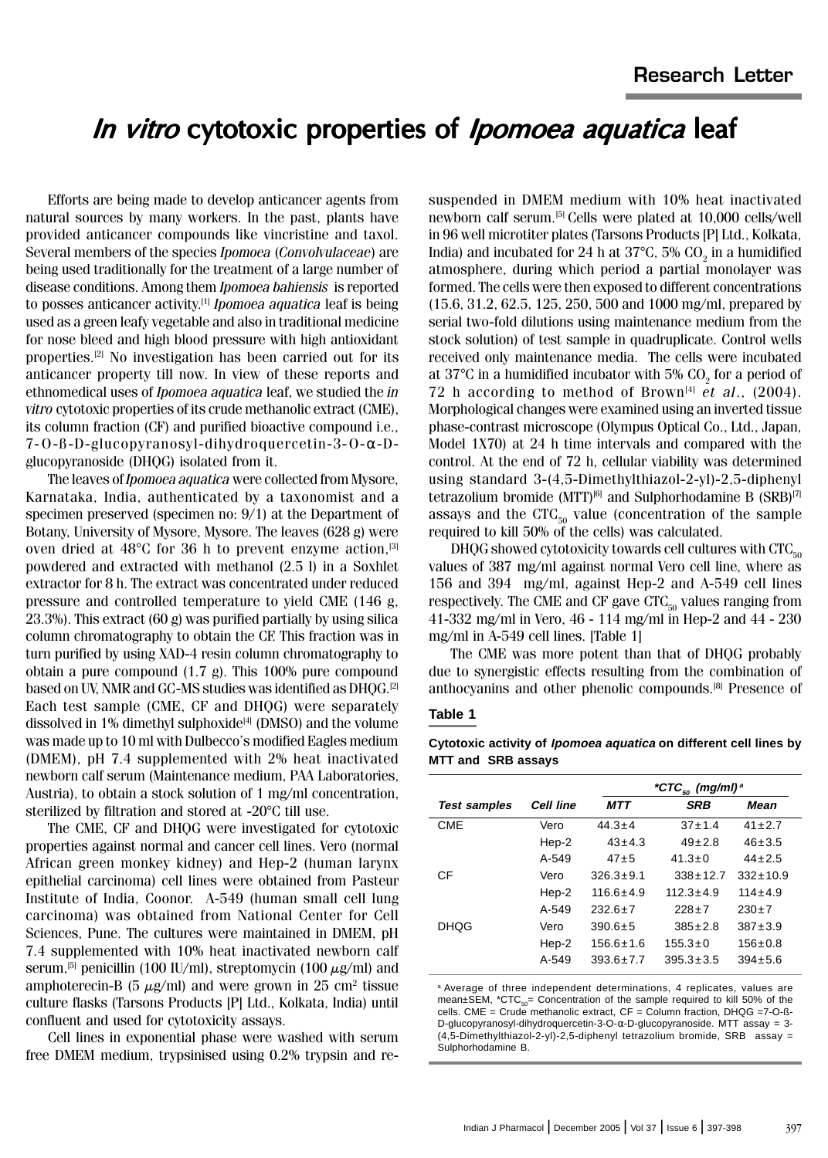### In vitro cytotoxic properties of *Ipomoea aquatica* leaf

Efforts are being made to develop anticancer agents from natural sources by many workers. In the past, plants have provided anticancer compounds like vincristine and taxol. Several members of the species Ipomoea (Convolvulaceae) are being used traditionally for the treatment of a large number of disease conditions. Among them Ipomoea bahiensis is reported to posses anticancer activity.<sup>[1]</sup> Ipomoea aquatica leaf is being used as a green leafy vegetable and also in traditional medicine for nose bleed and high blood pressure with high antioxidant properties.[2] No investigation has been carried out for its anticancer property till now. In view of these reports and ethnomedical uses of Ipomoea aquatica leaf, we studied the in vitro cytotoxic properties of its crude methanolic extract (CME), its column fraction (CF) and purified bioactive compound i.e., 7-O-ß-D-glucopyranosyl-dihydroquercetin-3-O-α-Dglucopyranoside (DHQG) isolated from it.

The leaves of Ipomoea aquatica were collected from Mysore, Karnataka, India, authenticated by a taxonomist and a specimen preserved (specimen no: 9/1) at the Department of Botany, University of Mysore, Mysore. The leaves (628 g) were oven dried at  $48^{\circ}$ C for 36 h to prevent enzyme action,<sup>[3]</sup> powdered and extracted with methanol (2.5 l) in a Soxhlet extractor for 8 h. The extract was concentrated under reduced pressure and controlled temperature to yield CME (146 g, 23.3%). This extract (60 g) was purified partially by using silica column chromatography to obtain the CF. This fraction was in turn purified by using XAD-4 resin column chromatography to obtain a pure compound (1.7 g). This 100% pure compound based on UV, NMR and GC-MS studies was identified as DHQG.<sup>[2]</sup> Each test sample (CME, CF and DHQG) were separately dissolved in  $1\%$  dimethyl sulphoxide<sup>[4]</sup> (DMSO) and the volume was made up to 10 ml with Dulbecco's modified Eagles medium (DMEM), pH 7.4 supplemented with 2% heat inactivated newborn calf serum (Maintenance medium, PAA Laboratories, Austria), to obtain a stock solution of 1 mg/ml concentration, sterilized by filtration and stored at -20°C till use.

The CME, CF and DHQG were investigated for cytotoxic properties against normal and cancer cell lines. Vero (normal African green monkey kidney) and Hep-2 (human larynx epithelial carcinoma) cell lines were obtained from Pasteur Institute of India, Coonor. A-549 (human small cell lung carcinoma) was obtained from National Center for Cell Sciences, Pune. The cultures were maintained in DMEM, pH 7.4 supplemented with 10% heat inactivated newborn calf serum,<sup>[5]</sup> penicillin (100 IU/ml), streptomycin (100  $\mu$ g/ml) and amphoterecin-B (5  $\mu$ g/ml) and were grown in 25 cm<sup>2</sup> tissue culture flasks (Tarsons Products [P] Ltd., Kolkata, India) until confluent and used for cytotoxicity assays.

Cell lines in exponential phase were washed with serum free DMEM medium, trypsinised using 0.2% trypsin and resuspended in DMEM medium with 10% heat inactivated newborn calf serum.[5] Cells were plated at 10,000 cells/well in 96 well microtiter plates (Tarsons Products [P] Ltd., Kolkata, India) and incubated for 24 h at 37°C, 5% CO<sub>2</sub> in a humidified atmosphere, during which period a partial monolayer was formed. The cells were then exposed to different concentrations (15.6, 31.2, 62.5, 125, 250, 500 and 1000 mg/ml, prepared by serial two-fold dilutions using maintenance medium from the stock solution) of test sample in quadruplicate. Control wells received only maintenance media. The cells were incubated at 37°C in a humidified incubator with 5% CO<sub>2</sub> for a period of 72 h according to method of Brown<sup>[4]</sup> et al.,  $(2004)$ . Morphological changes were examined using an inverted tissue phase-contrast microscope (Olympus Optical Co., Ltd., Japan, Model 1X70) at 24 h time intervals and compared with the control. At the end of 72 h, cellular viability was determined using standard 3-(4,5-Dimethylthiazol-2-yl)-2,5-diphenyl tetrazolium bromide (MTT)<sup>6</sup> and Sulphorhodamine B (SRB)<sup>[7]</sup> assays and the  $CTC_{50}$  value (concentration of the sample required to kill 50% of the cells) was calculated.

DHQG showed cytotoxicity towards cell cultures with  $CTC_{50}$ values of 387 mg/ml against normal Vero cell line, where as 156 and 394 mg/ml, against Hep-2 and A-549 cell lines respectively. The CME and CF gave  $CTC_{50}$  values ranging from 41-332 mg/ml in Vero, 46 - 114 mg/ml in Hep-2 and 44 - 230 mg/ml in A-549 cell lines. [Table 1]

The CME was more potent than that of DHQG probably due to synergistic effects resulting from the combination of anthocyanins and other phenolic compounds.[8] Presence of

### **Table 1**

**Cytotoxic activity of Ipomoea aquatica on different cell lines by MTT and SRB assays** 

|                     |           | *CTC <sub>50</sub> (mg/ml) <sup>a</sup> |                 |                |
|---------------------|-----------|-----------------------------------------|-----------------|----------------|
| <b>Test samples</b> | Cell line | MTT                                     | <b>SRB</b>      | Mean           |
| <b>CME</b>          | Vero      | $44.3 \pm 4$                            | $37 + 1.4$      | $41 \pm 2.7$   |
|                     | Hep-2     | $43 + 4.3$                              | $49 \pm 2.8$    | $46 + 3.5$     |
|                     | $A - 549$ | $47 + 5$                                | $41.3 + 0$      | $44 + 2.5$     |
| CF                  | Vero      | $326.3 \pm 9.1$                         | $338 \pm 12.7$  | $332 \pm 10.9$ |
|                     | Hep-2     | $116.6 + 4.9$                           | $112.3 \pm 4.9$ | $114 \pm 4.9$  |
|                     | $A - 549$ | $232.6 + 7$                             | $228 \pm 7$     | $230+7$        |
| <b>DHOG</b>         | Vero      | $390.6 \pm 5$                           | $385 + 2.8$     | $387 + 3.9$    |
|                     | Hep-2     | $156.6 + 1.6$                           | $155.3 \pm 0$   | $156 \pm 0.8$  |
|                     | $A-549$   | $393.6 \pm 7.7$                         | $395.3 \pm 3.5$ | $394 + 5.6$    |

a Average of three independent determinations, 4 replicates, values are mean $\pm$ SEM, \*CTC<sub>50</sub>= Concentration of the sample required to kill 50% of the cells. CME = Crude methanolic extract, CF = Column fraction, DHQG =7-O-ß-D-glucopyranosyl-dihydroquercetin-3-O-α-D-glucopyranoside. MTT assay = 3 (4,5-Dimethylthiazol-2-yl)-2,5-diphenyl tetrazolium bromide, SRB assay = Sulphorhodamine B.